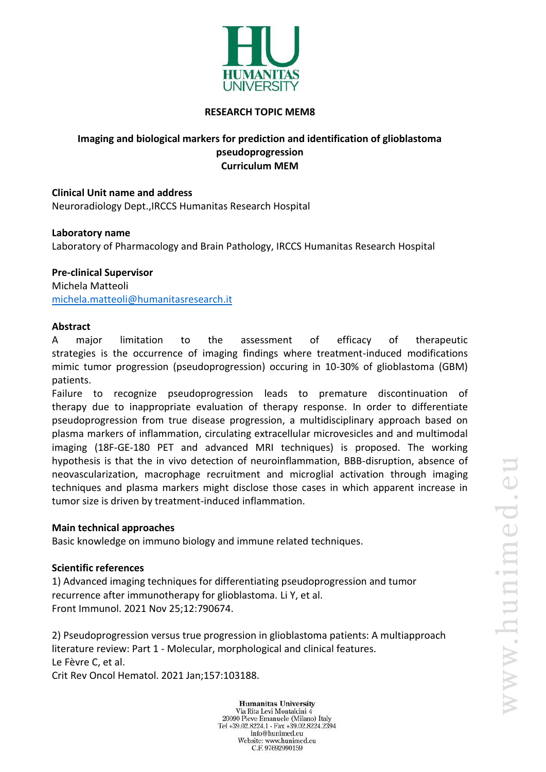

### **RESEARCH TOPIC MEM8**

### **Imaging and biological markers for prediction and identification of glioblastoma pseudoprogression Curriculum MEM**

### **Clinical Unit name and address**

Neuroradiology Dept.,IRCCS Humanitas Research Hospital

#### **Laboratory name**

Laboratory of Pharmacology and Brain Pathology, IRCCS Humanitas Research Hospital

## **Pre-clinical Supervisor**

Michela Matteoli [michela.matteoli@humanitasresearch.it](mailto:michela.matteoli@humanitasresearch.it)

#### **Abstract**

A major limitation to the assessment of efficacy of therapeutic strategies is the occurrence of imaging findings where treatment-induced modifications mimic tumor progression (pseudoprogression) occuring in 10-30% of glioblastoma (GBM) patients.

Failure to recognize pseudoprogression leads to premature discontinuation of therapy due to inappropriate evaluation of therapy response. In order to differentiate pseudoprogression from true disease progression, a multidisciplinary approach based on plasma markers of inflammation, circulating extracellular microvesicles and and multimodal imaging (18F-GE-180 PET and advanced MRI techniques) is proposed. The working hypothesis is that the in vivo detection of neuroinflammation, BBB-disruption, absence of neovascularization, macrophage recruitment and microglial activation through imaging techniques and plasma markers might disclose those cases in which apparent increase in tumor size is driven by treatment-induced inflammation.

#### **Main technical approaches**

Basic knowledge on immuno biology and immune related techniques.

## **Scientific references**

1) Advanced imaging techniques for differentiating pseudoprogression and tumor recurrence after immunotherapy for glioblastoma. Li Y, et al. Front Immunol. 2021 Nov 25;12:790674.

2) Pseudoprogression versus true progression in glioblastoma patients: A multiapproach literature review: Part 1 - Molecular, morphological and clinical features. Le Fèvre C, et al.

Crit Rev Oncol Hematol. 2021 Jan;157:103188.

**Humanitas University** Via Rita Levi Montalcini 4 20090 Pieve Emanuele (Milano) Italy Tel +39.02.8224.1 - Fax +39.02.8224.2394 info@hunimed.eu Website: www.hunimed.eu C.F. 97692990159